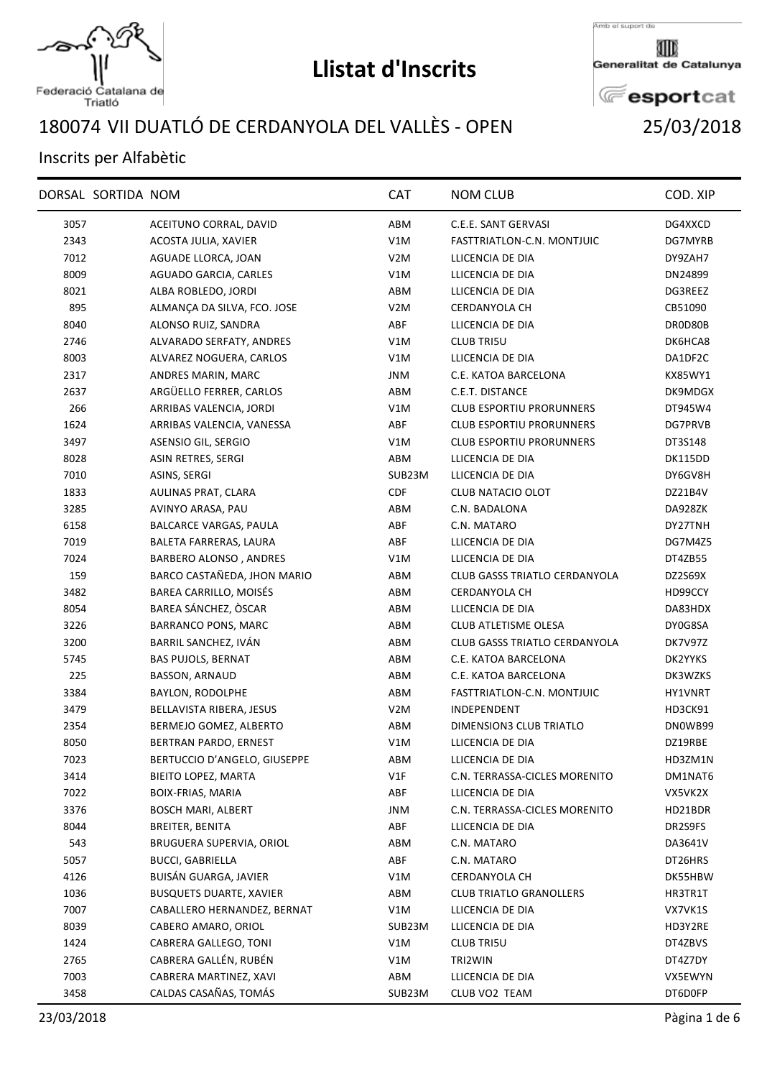

## Federació Catalana de<br>Triatló

## **Llistat d'Inscrits**

Amb el suport de

Generalitat de Catalunya

**E**esportcat

## VII DUATLÓ DE CERDANYOLA DEL VALLÈS - OPEN 25/03/2018

## Inscrits per Alfabètic

| 3057<br>ACEITUNO CORRAL, DAVID<br>ABM<br>C.E.E. SANT GERVASI<br>DG4XXCD<br>2343<br>V1M<br>FASTTRIATLON-C.N. MONTJUIC<br>DG7MYRB<br>ACOSTA JULIA, XAVIER<br>V <sub>2</sub> M<br>7012<br>AGUADE LLORCA, JOAN<br>LLICENCIA DE DIA<br>DY9ZAH7<br>8009<br>AGUADO GARCIA, CARLES<br>V1M<br>LLICENCIA DE DIA<br>DN24899<br>8021<br>ABM<br>LLICENCIA DE DIA<br>DG3REEZ<br>ALBA ROBLEDO, JORDI<br>895<br>ALMANÇA DA SILVA, FCO. JOSE<br>V <sub>2</sub> M<br>CERDANYOLA CH<br>CB51090<br>8040<br>ALONSO RUIZ, SANDRA<br>ABF<br>LLICENCIA DE DIA<br>DR0D80B<br>2746<br>V1M<br><b>CLUB TRI5U</b><br>DK6HCA8<br>ALVARADO SERFATY, ANDRES<br>8003<br>ALVAREZ NOGUERA, CARLOS<br>V1M<br>LLICENCIA DE DIA<br>DA1DF2C<br>2317<br>ANDRES MARIN, MARC<br><b>JNM</b><br>C.E. KATOA BARCELONA<br>KX85WY1<br>ARGÜELLO FERRER, CARLOS<br>C.E.T. DISTANCE<br>2637<br>ABM<br>DK9MDGX<br>266<br><b>CLUB ESPORTIU PRORUNNERS</b><br>ARRIBAS VALENCIA, JORDI<br>V1M<br>DT945W4<br>1624<br>ABF<br>ARRIBAS VALENCIA, VANESSA<br><b>CLUB ESPORTIU PRORUNNERS</b><br>DG7PRVB<br>3497<br>ASENSIO GIL, SERGIO<br>V1M<br><b>CLUB ESPORTIU PRORUNNERS</b><br>DT3S148<br>8028<br>ABM<br>ASIN RETRES, SERGI<br>LLICENCIA DE DIA<br>DK115DD<br>7010<br>SUB23M<br>LLICENCIA DE DIA<br>ASINS, SERGI<br>DY6GV8H<br><b>CDF</b><br>1833<br>AULINAS PRAT, CLARA<br>CLUB NATACIO OLOT<br>DZ21B4V<br>3285<br>AVINYO ARASA, PAU<br>ABM<br>C.N. BADALONA<br>DA928ZK<br>6158<br><b>BALCARCE VARGAS, PAULA</b><br>ABF<br>C.N. MATARO<br>DY27TNH<br>7019<br>ABF<br>LLICENCIA DE DIA<br>BALETA FARRERAS, LAURA<br>DG7M4Z5<br>7024<br>BARBERO ALONSO, ANDRES<br>V1M<br>LLICENCIA DE DIA<br>DT4ZB55<br>BARCO CASTAÑEDA, JHON MARIO<br>159<br>ABM<br><b>CLUB GASSS TRIATLO CERDANYOLA</b><br>DZ2S69X<br>BAREA CARRILLO, MOISÉS<br>3482<br>ABM<br>CERDANYOLA CH<br>HD99CCY<br>BAREA SÁNCHEZ, ÒSCAR<br>LLICENCIA DE DIA<br>8054<br>ABM<br>DA83HDX<br>3226<br><b>BARRANCO PONS, MARC</b><br>ABM<br>CLUB ATLETISME OLESA<br>DY0G8SA<br>BARRIL SANCHEZ, IVÁN<br>ABM<br>3200<br><b>CLUB GASSS TRIATLO CERDANYOLA</b><br><b>DK7V97Z</b><br>ABM<br>5745<br><b>BAS PUJOLS, BERNAT</b><br>C.E. KATOA BARCELONA<br>DK2YYKS<br>225<br>ABM<br>C.E. KATOA BARCELONA<br><b>BASSON, ARNAUD</b><br>DK3WZKS<br>3384<br><b>BAYLON, RODOLPHE</b><br>ABM<br>FASTTRIATLON-C.N. MONTJUIC<br>HY1VNRT<br>3479<br>BELLAVISTA RIBERA, JESUS<br>V <sub>2</sub> M<br>INDEPENDENT<br>HD3CK91<br>ABM<br>2354<br>BERMEJO GOMEZ, ALBERTO<br>DIMENSION3 CLUB TRIATLO<br>DNOWB99<br>8050<br>BERTRAN PARDO, ERNEST<br>V1M<br>LLICENCIA DE DIA<br>DZ19RBE<br>7023<br>BERTUCCIO D'ANGELO, GIUSEPPE<br>ABM<br>LLICENCIA DE DIA<br>HD3ZM1N<br>V1F<br>3414<br>BIEITO LOPEZ, MARTA<br>C.N. TERRASSA-CICLES MORENITO<br>DM1NAT6<br>7022<br>BOIX-FRIAS, MARIA<br>ABF<br>LLICENCIA DE DIA<br>VX5VK2X<br>3376<br><b>BOSCH MARI, ALBERT</b><br>JNM<br>C.N. TERRASSA-CICLES MORENITO<br>HD21BDR<br>8044<br><b>BREITER, BENITA</b><br>ABF<br>LLICENCIA DE DIA<br>DR2S9FS<br>543<br>BRUGUERA SUPERVIA, ORIOL<br>ABM<br>C.N. MATARO<br>DA3641V<br>5057<br><b>BUCCI, GABRIELLA</b><br>ABF<br>C.N. MATARO<br>DT26HRS<br>BUISÁN GUARGA, JAVIER<br>4126<br>V1M<br>CERDANYOLA CH<br>DK55HBW<br>1036<br><b>BUSQUETS DUARTE, XAVIER</b><br>ABM<br><b>CLUB TRIATLO GRANOLLERS</b><br>HR3TR1T<br>7007<br>V1M<br>CABALLERO HERNANDEZ, BERNAT<br>LLICENCIA DE DIA<br>VX7VK1S<br>8039<br>CABERO AMARO, ORIOL<br>SUB23M<br>LLICENCIA DE DIA<br>HD3Y2RE<br>1424<br>CABRERA GALLEGO, TONI<br>V1M<br><b>CLUB TRI5U</b><br>DT4ZBVS<br>CABRERA GALLÉN, RUBÉN<br>2765<br>V1M<br>TRI2WIN<br>DT4Z7DY<br>7003<br>CABRERA MARTINEZ, XAVI<br>ABM<br>LLICENCIA DE DIA<br>VX5EWYN<br>CALDAS CASAÑAS, TOMÁS<br>3458<br>SUB23M<br>CLUB VO2 TEAM<br>DT6D0FP | DORSAL SORTIDA NOM | <b>CAT</b> | <b>NOM CLUB</b> | COD. XIP |
|---------------------------------------------------------------------------------------------------------------------------------------------------------------------------------------------------------------------------------------------------------------------------------------------------------------------------------------------------------------------------------------------------------------------------------------------------------------------------------------------------------------------------------------------------------------------------------------------------------------------------------------------------------------------------------------------------------------------------------------------------------------------------------------------------------------------------------------------------------------------------------------------------------------------------------------------------------------------------------------------------------------------------------------------------------------------------------------------------------------------------------------------------------------------------------------------------------------------------------------------------------------------------------------------------------------------------------------------------------------------------------------------------------------------------------------------------------------------------------------------------------------------------------------------------------------------------------------------------------------------------------------------------------------------------------------------------------------------------------------------------------------------------------------------------------------------------------------------------------------------------------------------------------------------------------------------------------------------------------------------------------------------------------------------------------------------------------------------------------------------------------------------------------------------------------------------------------------------------------------------------------------------------------------------------------------------------------------------------------------------------------------------------------------------------------------------------------------------------------------------------------------------------------------------------------------------------------------------------------------------------------------------------------------------------------------------------------------------------------------------------------------------------------------------------------------------------------------------------------------------------------------------------------------------------------------------------------------------------------------------------------------------------------------------------------------------------------------------------------------------------------------------------------------------------------------------------------------------------------------------------------------------------------------------------------------------------------------------------------------------------------------------------------------------------------------------------------------------------------------------------------------------------------------------------------------------------------------------------------------------------------------------------------------------------------------------------------------------|--------------------|------------|-----------------|----------|
|                                                                                                                                                                                                                                                                                                                                                                                                                                                                                                                                                                                                                                                                                                                                                                                                                                                                                                                                                                                                                                                                                                                                                                                                                                                                                                                                                                                                                                                                                                                                                                                                                                                                                                                                                                                                                                                                                                                                                                                                                                                                                                                                                                                                                                                                                                                                                                                                                                                                                                                                                                                                                                                                                                                                                                                                                                                                                                                                                                                                                                                                                                                                                                                                                                                                                                                                                                                                                                                                                                                                                                                                                                                                                                                     |                    |            |                 |          |
|                                                                                                                                                                                                                                                                                                                                                                                                                                                                                                                                                                                                                                                                                                                                                                                                                                                                                                                                                                                                                                                                                                                                                                                                                                                                                                                                                                                                                                                                                                                                                                                                                                                                                                                                                                                                                                                                                                                                                                                                                                                                                                                                                                                                                                                                                                                                                                                                                                                                                                                                                                                                                                                                                                                                                                                                                                                                                                                                                                                                                                                                                                                                                                                                                                                                                                                                                                                                                                                                                                                                                                                                                                                                                                                     |                    |            |                 |          |
|                                                                                                                                                                                                                                                                                                                                                                                                                                                                                                                                                                                                                                                                                                                                                                                                                                                                                                                                                                                                                                                                                                                                                                                                                                                                                                                                                                                                                                                                                                                                                                                                                                                                                                                                                                                                                                                                                                                                                                                                                                                                                                                                                                                                                                                                                                                                                                                                                                                                                                                                                                                                                                                                                                                                                                                                                                                                                                                                                                                                                                                                                                                                                                                                                                                                                                                                                                                                                                                                                                                                                                                                                                                                                                                     |                    |            |                 |          |
|                                                                                                                                                                                                                                                                                                                                                                                                                                                                                                                                                                                                                                                                                                                                                                                                                                                                                                                                                                                                                                                                                                                                                                                                                                                                                                                                                                                                                                                                                                                                                                                                                                                                                                                                                                                                                                                                                                                                                                                                                                                                                                                                                                                                                                                                                                                                                                                                                                                                                                                                                                                                                                                                                                                                                                                                                                                                                                                                                                                                                                                                                                                                                                                                                                                                                                                                                                                                                                                                                                                                                                                                                                                                                                                     |                    |            |                 |          |
|                                                                                                                                                                                                                                                                                                                                                                                                                                                                                                                                                                                                                                                                                                                                                                                                                                                                                                                                                                                                                                                                                                                                                                                                                                                                                                                                                                                                                                                                                                                                                                                                                                                                                                                                                                                                                                                                                                                                                                                                                                                                                                                                                                                                                                                                                                                                                                                                                                                                                                                                                                                                                                                                                                                                                                                                                                                                                                                                                                                                                                                                                                                                                                                                                                                                                                                                                                                                                                                                                                                                                                                                                                                                                                                     |                    |            |                 |          |
|                                                                                                                                                                                                                                                                                                                                                                                                                                                                                                                                                                                                                                                                                                                                                                                                                                                                                                                                                                                                                                                                                                                                                                                                                                                                                                                                                                                                                                                                                                                                                                                                                                                                                                                                                                                                                                                                                                                                                                                                                                                                                                                                                                                                                                                                                                                                                                                                                                                                                                                                                                                                                                                                                                                                                                                                                                                                                                                                                                                                                                                                                                                                                                                                                                                                                                                                                                                                                                                                                                                                                                                                                                                                                                                     |                    |            |                 |          |
|                                                                                                                                                                                                                                                                                                                                                                                                                                                                                                                                                                                                                                                                                                                                                                                                                                                                                                                                                                                                                                                                                                                                                                                                                                                                                                                                                                                                                                                                                                                                                                                                                                                                                                                                                                                                                                                                                                                                                                                                                                                                                                                                                                                                                                                                                                                                                                                                                                                                                                                                                                                                                                                                                                                                                                                                                                                                                                                                                                                                                                                                                                                                                                                                                                                                                                                                                                                                                                                                                                                                                                                                                                                                                                                     |                    |            |                 |          |
|                                                                                                                                                                                                                                                                                                                                                                                                                                                                                                                                                                                                                                                                                                                                                                                                                                                                                                                                                                                                                                                                                                                                                                                                                                                                                                                                                                                                                                                                                                                                                                                                                                                                                                                                                                                                                                                                                                                                                                                                                                                                                                                                                                                                                                                                                                                                                                                                                                                                                                                                                                                                                                                                                                                                                                                                                                                                                                                                                                                                                                                                                                                                                                                                                                                                                                                                                                                                                                                                                                                                                                                                                                                                                                                     |                    |            |                 |          |
|                                                                                                                                                                                                                                                                                                                                                                                                                                                                                                                                                                                                                                                                                                                                                                                                                                                                                                                                                                                                                                                                                                                                                                                                                                                                                                                                                                                                                                                                                                                                                                                                                                                                                                                                                                                                                                                                                                                                                                                                                                                                                                                                                                                                                                                                                                                                                                                                                                                                                                                                                                                                                                                                                                                                                                                                                                                                                                                                                                                                                                                                                                                                                                                                                                                                                                                                                                                                                                                                                                                                                                                                                                                                                                                     |                    |            |                 |          |
|                                                                                                                                                                                                                                                                                                                                                                                                                                                                                                                                                                                                                                                                                                                                                                                                                                                                                                                                                                                                                                                                                                                                                                                                                                                                                                                                                                                                                                                                                                                                                                                                                                                                                                                                                                                                                                                                                                                                                                                                                                                                                                                                                                                                                                                                                                                                                                                                                                                                                                                                                                                                                                                                                                                                                                                                                                                                                                                                                                                                                                                                                                                                                                                                                                                                                                                                                                                                                                                                                                                                                                                                                                                                                                                     |                    |            |                 |          |
|                                                                                                                                                                                                                                                                                                                                                                                                                                                                                                                                                                                                                                                                                                                                                                                                                                                                                                                                                                                                                                                                                                                                                                                                                                                                                                                                                                                                                                                                                                                                                                                                                                                                                                                                                                                                                                                                                                                                                                                                                                                                                                                                                                                                                                                                                                                                                                                                                                                                                                                                                                                                                                                                                                                                                                                                                                                                                                                                                                                                                                                                                                                                                                                                                                                                                                                                                                                                                                                                                                                                                                                                                                                                                                                     |                    |            |                 |          |
|                                                                                                                                                                                                                                                                                                                                                                                                                                                                                                                                                                                                                                                                                                                                                                                                                                                                                                                                                                                                                                                                                                                                                                                                                                                                                                                                                                                                                                                                                                                                                                                                                                                                                                                                                                                                                                                                                                                                                                                                                                                                                                                                                                                                                                                                                                                                                                                                                                                                                                                                                                                                                                                                                                                                                                                                                                                                                                                                                                                                                                                                                                                                                                                                                                                                                                                                                                                                                                                                                                                                                                                                                                                                                                                     |                    |            |                 |          |
|                                                                                                                                                                                                                                                                                                                                                                                                                                                                                                                                                                                                                                                                                                                                                                                                                                                                                                                                                                                                                                                                                                                                                                                                                                                                                                                                                                                                                                                                                                                                                                                                                                                                                                                                                                                                                                                                                                                                                                                                                                                                                                                                                                                                                                                                                                                                                                                                                                                                                                                                                                                                                                                                                                                                                                                                                                                                                                                                                                                                                                                                                                                                                                                                                                                                                                                                                                                                                                                                                                                                                                                                                                                                                                                     |                    |            |                 |          |
|                                                                                                                                                                                                                                                                                                                                                                                                                                                                                                                                                                                                                                                                                                                                                                                                                                                                                                                                                                                                                                                                                                                                                                                                                                                                                                                                                                                                                                                                                                                                                                                                                                                                                                                                                                                                                                                                                                                                                                                                                                                                                                                                                                                                                                                                                                                                                                                                                                                                                                                                                                                                                                                                                                                                                                                                                                                                                                                                                                                                                                                                                                                                                                                                                                                                                                                                                                                                                                                                                                                                                                                                                                                                                                                     |                    |            |                 |          |
|                                                                                                                                                                                                                                                                                                                                                                                                                                                                                                                                                                                                                                                                                                                                                                                                                                                                                                                                                                                                                                                                                                                                                                                                                                                                                                                                                                                                                                                                                                                                                                                                                                                                                                                                                                                                                                                                                                                                                                                                                                                                                                                                                                                                                                                                                                                                                                                                                                                                                                                                                                                                                                                                                                                                                                                                                                                                                                                                                                                                                                                                                                                                                                                                                                                                                                                                                                                                                                                                                                                                                                                                                                                                                                                     |                    |            |                 |          |
|                                                                                                                                                                                                                                                                                                                                                                                                                                                                                                                                                                                                                                                                                                                                                                                                                                                                                                                                                                                                                                                                                                                                                                                                                                                                                                                                                                                                                                                                                                                                                                                                                                                                                                                                                                                                                                                                                                                                                                                                                                                                                                                                                                                                                                                                                                                                                                                                                                                                                                                                                                                                                                                                                                                                                                                                                                                                                                                                                                                                                                                                                                                                                                                                                                                                                                                                                                                                                                                                                                                                                                                                                                                                                                                     |                    |            |                 |          |
|                                                                                                                                                                                                                                                                                                                                                                                                                                                                                                                                                                                                                                                                                                                                                                                                                                                                                                                                                                                                                                                                                                                                                                                                                                                                                                                                                                                                                                                                                                                                                                                                                                                                                                                                                                                                                                                                                                                                                                                                                                                                                                                                                                                                                                                                                                                                                                                                                                                                                                                                                                                                                                                                                                                                                                                                                                                                                                                                                                                                                                                                                                                                                                                                                                                                                                                                                                                                                                                                                                                                                                                                                                                                                                                     |                    |            |                 |          |
|                                                                                                                                                                                                                                                                                                                                                                                                                                                                                                                                                                                                                                                                                                                                                                                                                                                                                                                                                                                                                                                                                                                                                                                                                                                                                                                                                                                                                                                                                                                                                                                                                                                                                                                                                                                                                                                                                                                                                                                                                                                                                                                                                                                                                                                                                                                                                                                                                                                                                                                                                                                                                                                                                                                                                                                                                                                                                                                                                                                                                                                                                                                                                                                                                                                                                                                                                                                                                                                                                                                                                                                                                                                                                                                     |                    |            |                 |          |
|                                                                                                                                                                                                                                                                                                                                                                                                                                                                                                                                                                                                                                                                                                                                                                                                                                                                                                                                                                                                                                                                                                                                                                                                                                                                                                                                                                                                                                                                                                                                                                                                                                                                                                                                                                                                                                                                                                                                                                                                                                                                                                                                                                                                                                                                                                                                                                                                                                                                                                                                                                                                                                                                                                                                                                                                                                                                                                                                                                                                                                                                                                                                                                                                                                                                                                                                                                                                                                                                                                                                                                                                                                                                                                                     |                    |            |                 |          |
|                                                                                                                                                                                                                                                                                                                                                                                                                                                                                                                                                                                                                                                                                                                                                                                                                                                                                                                                                                                                                                                                                                                                                                                                                                                                                                                                                                                                                                                                                                                                                                                                                                                                                                                                                                                                                                                                                                                                                                                                                                                                                                                                                                                                                                                                                                                                                                                                                                                                                                                                                                                                                                                                                                                                                                                                                                                                                                                                                                                                                                                                                                                                                                                                                                                                                                                                                                                                                                                                                                                                                                                                                                                                                                                     |                    |            |                 |          |
|                                                                                                                                                                                                                                                                                                                                                                                                                                                                                                                                                                                                                                                                                                                                                                                                                                                                                                                                                                                                                                                                                                                                                                                                                                                                                                                                                                                                                                                                                                                                                                                                                                                                                                                                                                                                                                                                                                                                                                                                                                                                                                                                                                                                                                                                                                                                                                                                                                                                                                                                                                                                                                                                                                                                                                                                                                                                                                                                                                                                                                                                                                                                                                                                                                                                                                                                                                                                                                                                                                                                                                                                                                                                                                                     |                    |            |                 |          |
|                                                                                                                                                                                                                                                                                                                                                                                                                                                                                                                                                                                                                                                                                                                                                                                                                                                                                                                                                                                                                                                                                                                                                                                                                                                                                                                                                                                                                                                                                                                                                                                                                                                                                                                                                                                                                                                                                                                                                                                                                                                                                                                                                                                                                                                                                                                                                                                                                                                                                                                                                                                                                                                                                                                                                                                                                                                                                                                                                                                                                                                                                                                                                                                                                                                                                                                                                                                                                                                                                                                                                                                                                                                                                                                     |                    |            |                 |          |
|                                                                                                                                                                                                                                                                                                                                                                                                                                                                                                                                                                                                                                                                                                                                                                                                                                                                                                                                                                                                                                                                                                                                                                                                                                                                                                                                                                                                                                                                                                                                                                                                                                                                                                                                                                                                                                                                                                                                                                                                                                                                                                                                                                                                                                                                                                                                                                                                                                                                                                                                                                                                                                                                                                                                                                                                                                                                                                                                                                                                                                                                                                                                                                                                                                                                                                                                                                                                                                                                                                                                                                                                                                                                                                                     |                    |            |                 |          |
|                                                                                                                                                                                                                                                                                                                                                                                                                                                                                                                                                                                                                                                                                                                                                                                                                                                                                                                                                                                                                                                                                                                                                                                                                                                                                                                                                                                                                                                                                                                                                                                                                                                                                                                                                                                                                                                                                                                                                                                                                                                                                                                                                                                                                                                                                                                                                                                                                                                                                                                                                                                                                                                                                                                                                                                                                                                                                                                                                                                                                                                                                                                                                                                                                                                                                                                                                                                                                                                                                                                                                                                                                                                                                                                     |                    |            |                 |          |
|                                                                                                                                                                                                                                                                                                                                                                                                                                                                                                                                                                                                                                                                                                                                                                                                                                                                                                                                                                                                                                                                                                                                                                                                                                                                                                                                                                                                                                                                                                                                                                                                                                                                                                                                                                                                                                                                                                                                                                                                                                                                                                                                                                                                                                                                                                                                                                                                                                                                                                                                                                                                                                                                                                                                                                                                                                                                                                                                                                                                                                                                                                                                                                                                                                                                                                                                                                                                                                                                                                                                                                                                                                                                                                                     |                    |            |                 |          |
|                                                                                                                                                                                                                                                                                                                                                                                                                                                                                                                                                                                                                                                                                                                                                                                                                                                                                                                                                                                                                                                                                                                                                                                                                                                                                                                                                                                                                                                                                                                                                                                                                                                                                                                                                                                                                                                                                                                                                                                                                                                                                                                                                                                                                                                                                                                                                                                                                                                                                                                                                                                                                                                                                                                                                                                                                                                                                                                                                                                                                                                                                                                                                                                                                                                                                                                                                                                                                                                                                                                                                                                                                                                                                                                     |                    |            |                 |          |
|                                                                                                                                                                                                                                                                                                                                                                                                                                                                                                                                                                                                                                                                                                                                                                                                                                                                                                                                                                                                                                                                                                                                                                                                                                                                                                                                                                                                                                                                                                                                                                                                                                                                                                                                                                                                                                                                                                                                                                                                                                                                                                                                                                                                                                                                                                                                                                                                                                                                                                                                                                                                                                                                                                                                                                                                                                                                                                                                                                                                                                                                                                                                                                                                                                                                                                                                                                                                                                                                                                                                                                                                                                                                                                                     |                    |            |                 |          |
|                                                                                                                                                                                                                                                                                                                                                                                                                                                                                                                                                                                                                                                                                                                                                                                                                                                                                                                                                                                                                                                                                                                                                                                                                                                                                                                                                                                                                                                                                                                                                                                                                                                                                                                                                                                                                                                                                                                                                                                                                                                                                                                                                                                                                                                                                                                                                                                                                                                                                                                                                                                                                                                                                                                                                                                                                                                                                                                                                                                                                                                                                                                                                                                                                                                                                                                                                                                                                                                                                                                                                                                                                                                                                                                     |                    |            |                 |          |
|                                                                                                                                                                                                                                                                                                                                                                                                                                                                                                                                                                                                                                                                                                                                                                                                                                                                                                                                                                                                                                                                                                                                                                                                                                                                                                                                                                                                                                                                                                                                                                                                                                                                                                                                                                                                                                                                                                                                                                                                                                                                                                                                                                                                                                                                                                                                                                                                                                                                                                                                                                                                                                                                                                                                                                                                                                                                                                                                                                                                                                                                                                                                                                                                                                                                                                                                                                                                                                                                                                                                                                                                                                                                                                                     |                    |            |                 |          |
|                                                                                                                                                                                                                                                                                                                                                                                                                                                                                                                                                                                                                                                                                                                                                                                                                                                                                                                                                                                                                                                                                                                                                                                                                                                                                                                                                                                                                                                                                                                                                                                                                                                                                                                                                                                                                                                                                                                                                                                                                                                                                                                                                                                                                                                                                                                                                                                                                                                                                                                                                                                                                                                                                                                                                                                                                                                                                                                                                                                                                                                                                                                                                                                                                                                                                                                                                                                                                                                                                                                                                                                                                                                                                                                     |                    |            |                 |          |
|                                                                                                                                                                                                                                                                                                                                                                                                                                                                                                                                                                                                                                                                                                                                                                                                                                                                                                                                                                                                                                                                                                                                                                                                                                                                                                                                                                                                                                                                                                                                                                                                                                                                                                                                                                                                                                                                                                                                                                                                                                                                                                                                                                                                                                                                                                                                                                                                                                                                                                                                                                                                                                                                                                                                                                                                                                                                                                                                                                                                                                                                                                                                                                                                                                                                                                                                                                                                                                                                                                                                                                                                                                                                                                                     |                    |            |                 |          |
|                                                                                                                                                                                                                                                                                                                                                                                                                                                                                                                                                                                                                                                                                                                                                                                                                                                                                                                                                                                                                                                                                                                                                                                                                                                                                                                                                                                                                                                                                                                                                                                                                                                                                                                                                                                                                                                                                                                                                                                                                                                                                                                                                                                                                                                                                                                                                                                                                                                                                                                                                                                                                                                                                                                                                                                                                                                                                                                                                                                                                                                                                                                                                                                                                                                                                                                                                                                                                                                                                                                                                                                                                                                                                                                     |                    |            |                 |          |
|                                                                                                                                                                                                                                                                                                                                                                                                                                                                                                                                                                                                                                                                                                                                                                                                                                                                                                                                                                                                                                                                                                                                                                                                                                                                                                                                                                                                                                                                                                                                                                                                                                                                                                                                                                                                                                                                                                                                                                                                                                                                                                                                                                                                                                                                                                                                                                                                                                                                                                                                                                                                                                                                                                                                                                                                                                                                                                                                                                                                                                                                                                                                                                                                                                                                                                                                                                                                                                                                                                                                                                                                                                                                                                                     |                    |            |                 |          |
|                                                                                                                                                                                                                                                                                                                                                                                                                                                                                                                                                                                                                                                                                                                                                                                                                                                                                                                                                                                                                                                                                                                                                                                                                                                                                                                                                                                                                                                                                                                                                                                                                                                                                                                                                                                                                                                                                                                                                                                                                                                                                                                                                                                                                                                                                                                                                                                                                                                                                                                                                                                                                                                                                                                                                                                                                                                                                                                                                                                                                                                                                                                                                                                                                                                                                                                                                                                                                                                                                                                                                                                                                                                                                                                     |                    |            |                 |          |
|                                                                                                                                                                                                                                                                                                                                                                                                                                                                                                                                                                                                                                                                                                                                                                                                                                                                                                                                                                                                                                                                                                                                                                                                                                                                                                                                                                                                                                                                                                                                                                                                                                                                                                                                                                                                                                                                                                                                                                                                                                                                                                                                                                                                                                                                                                                                                                                                                                                                                                                                                                                                                                                                                                                                                                                                                                                                                                                                                                                                                                                                                                                                                                                                                                                                                                                                                                                                                                                                                                                                                                                                                                                                                                                     |                    |            |                 |          |
|                                                                                                                                                                                                                                                                                                                                                                                                                                                                                                                                                                                                                                                                                                                                                                                                                                                                                                                                                                                                                                                                                                                                                                                                                                                                                                                                                                                                                                                                                                                                                                                                                                                                                                                                                                                                                                                                                                                                                                                                                                                                                                                                                                                                                                                                                                                                                                                                                                                                                                                                                                                                                                                                                                                                                                                                                                                                                                                                                                                                                                                                                                                                                                                                                                                                                                                                                                                                                                                                                                                                                                                                                                                                                                                     |                    |            |                 |          |
|                                                                                                                                                                                                                                                                                                                                                                                                                                                                                                                                                                                                                                                                                                                                                                                                                                                                                                                                                                                                                                                                                                                                                                                                                                                                                                                                                                                                                                                                                                                                                                                                                                                                                                                                                                                                                                                                                                                                                                                                                                                                                                                                                                                                                                                                                                                                                                                                                                                                                                                                                                                                                                                                                                                                                                                                                                                                                                                                                                                                                                                                                                                                                                                                                                                                                                                                                                                                                                                                                                                                                                                                                                                                                                                     |                    |            |                 |          |
|                                                                                                                                                                                                                                                                                                                                                                                                                                                                                                                                                                                                                                                                                                                                                                                                                                                                                                                                                                                                                                                                                                                                                                                                                                                                                                                                                                                                                                                                                                                                                                                                                                                                                                                                                                                                                                                                                                                                                                                                                                                                                                                                                                                                                                                                                                                                                                                                                                                                                                                                                                                                                                                                                                                                                                                                                                                                                                                                                                                                                                                                                                                                                                                                                                                                                                                                                                                                                                                                                                                                                                                                                                                                                                                     |                    |            |                 |          |
|                                                                                                                                                                                                                                                                                                                                                                                                                                                                                                                                                                                                                                                                                                                                                                                                                                                                                                                                                                                                                                                                                                                                                                                                                                                                                                                                                                                                                                                                                                                                                                                                                                                                                                                                                                                                                                                                                                                                                                                                                                                                                                                                                                                                                                                                                                                                                                                                                                                                                                                                                                                                                                                                                                                                                                                                                                                                                                                                                                                                                                                                                                                                                                                                                                                                                                                                                                                                                                                                                                                                                                                                                                                                                                                     |                    |            |                 |          |
|                                                                                                                                                                                                                                                                                                                                                                                                                                                                                                                                                                                                                                                                                                                                                                                                                                                                                                                                                                                                                                                                                                                                                                                                                                                                                                                                                                                                                                                                                                                                                                                                                                                                                                                                                                                                                                                                                                                                                                                                                                                                                                                                                                                                                                                                                                                                                                                                                                                                                                                                                                                                                                                                                                                                                                                                                                                                                                                                                                                                                                                                                                                                                                                                                                                                                                                                                                                                                                                                                                                                                                                                                                                                                                                     |                    |            |                 |          |
|                                                                                                                                                                                                                                                                                                                                                                                                                                                                                                                                                                                                                                                                                                                                                                                                                                                                                                                                                                                                                                                                                                                                                                                                                                                                                                                                                                                                                                                                                                                                                                                                                                                                                                                                                                                                                                                                                                                                                                                                                                                                                                                                                                                                                                                                                                                                                                                                                                                                                                                                                                                                                                                                                                                                                                                                                                                                                                                                                                                                                                                                                                                                                                                                                                                                                                                                                                                                                                                                                                                                                                                                                                                                                                                     |                    |            |                 |          |
|                                                                                                                                                                                                                                                                                                                                                                                                                                                                                                                                                                                                                                                                                                                                                                                                                                                                                                                                                                                                                                                                                                                                                                                                                                                                                                                                                                                                                                                                                                                                                                                                                                                                                                                                                                                                                                                                                                                                                                                                                                                                                                                                                                                                                                                                                                                                                                                                                                                                                                                                                                                                                                                                                                                                                                                                                                                                                                                                                                                                                                                                                                                                                                                                                                                                                                                                                                                                                                                                                                                                                                                                                                                                                                                     |                    |            |                 |          |
|                                                                                                                                                                                                                                                                                                                                                                                                                                                                                                                                                                                                                                                                                                                                                                                                                                                                                                                                                                                                                                                                                                                                                                                                                                                                                                                                                                                                                                                                                                                                                                                                                                                                                                                                                                                                                                                                                                                                                                                                                                                                                                                                                                                                                                                                                                                                                                                                                                                                                                                                                                                                                                                                                                                                                                                                                                                                                                                                                                                                                                                                                                                                                                                                                                                                                                                                                                                                                                                                                                                                                                                                                                                                                                                     |                    |            |                 |          |
|                                                                                                                                                                                                                                                                                                                                                                                                                                                                                                                                                                                                                                                                                                                                                                                                                                                                                                                                                                                                                                                                                                                                                                                                                                                                                                                                                                                                                                                                                                                                                                                                                                                                                                                                                                                                                                                                                                                                                                                                                                                                                                                                                                                                                                                                                                                                                                                                                                                                                                                                                                                                                                                                                                                                                                                                                                                                                                                                                                                                                                                                                                                                                                                                                                                                                                                                                                                                                                                                                                                                                                                                                                                                                                                     |                    |            |                 |          |
|                                                                                                                                                                                                                                                                                                                                                                                                                                                                                                                                                                                                                                                                                                                                                                                                                                                                                                                                                                                                                                                                                                                                                                                                                                                                                                                                                                                                                                                                                                                                                                                                                                                                                                                                                                                                                                                                                                                                                                                                                                                                                                                                                                                                                                                                                                                                                                                                                                                                                                                                                                                                                                                                                                                                                                                                                                                                                                                                                                                                                                                                                                                                                                                                                                                                                                                                                                                                                                                                                                                                                                                                                                                                                                                     |                    |            |                 |          |
|                                                                                                                                                                                                                                                                                                                                                                                                                                                                                                                                                                                                                                                                                                                                                                                                                                                                                                                                                                                                                                                                                                                                                                                                                                                                                                                                                                                                                                                                                                                                                                                                                                                                                                                                                                                                                                                                                                                                                                                                                                                                                                                                                                                                                                                                                                                                                                                                                                                                                                                                                                                                                                                                                                                                                                                                                                                                                                                                                                                                                                                                                                                                                                                                                                                                                                                                                                                                                                                                                                                                                                                                                                                                                                                     |                    |            |                 |          |
|                                                                                                                                                                                                                                                                                                                                                                                                                                                                                                                                                                                                                                                                                                                                                                                                                                                                                                                                                                                                                                                                                                                                                                                                                                                                                                                                                                                                                                                                                                                                                                                                                                                                                                                                                                                                                                                                                                                                                                                                                                                                                                                                                                                                                                                                                                                                                                                                                                                                                                                                                                                                                                                                                                                                                                                                                                                                                                                                                                                                                                                                                                                                                                                                                                                                                                                                                                                                                                                                                                                                                                                                                                                                                                                     |                    |            |                 |          |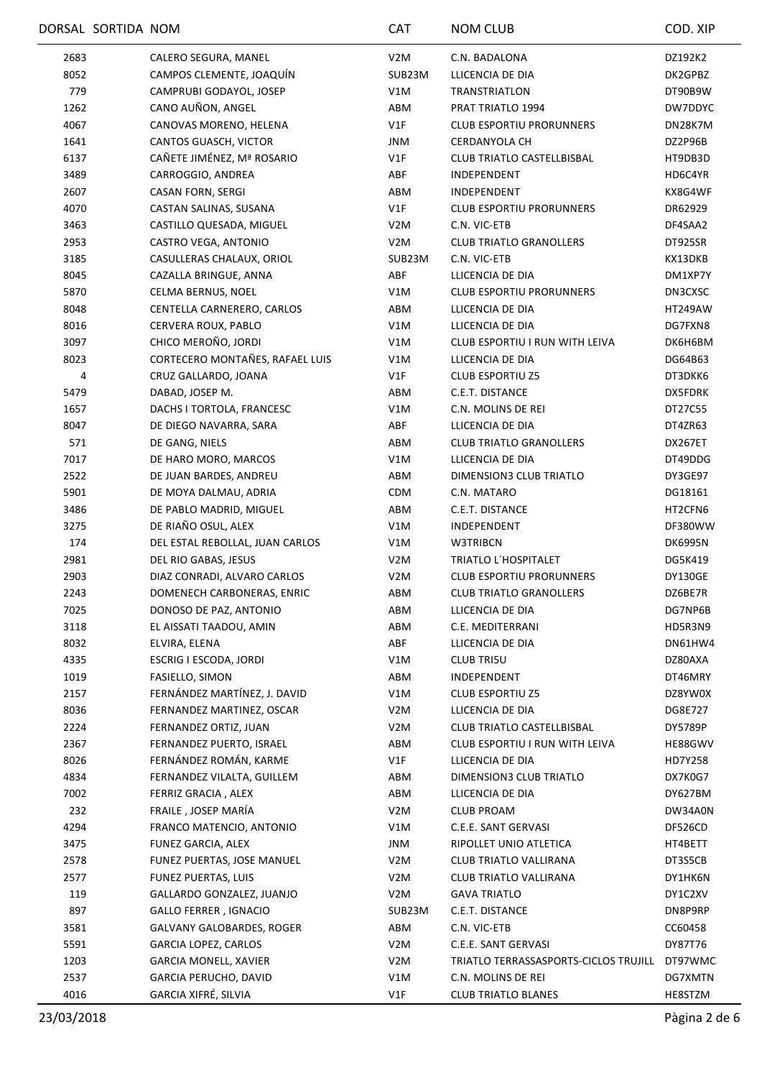|      | DORSAL SORTIDA NOM |                                 | <b>CAT</b>       | NOM CLUB                              | COD. XIP       |
|------|--------------------|---------------------------------|------------------|---------------------------------------|----------------|
| 2683 |                    | CALERO SEGURA, MANEL            | V <sub>2</sub> M | C.N. BADALONA                         | DZ192K2        |
| 8052 |                    | CAMPOS CLEMENTE, JOAQUÍN        | SUB23M           | LLICENCIA DE DIA                      | DK2GPBZ        |
| 779  |                    | CAMPRUBI GODAYOL, JOSEP         | V1M              | TRANSTRIATLON                         | DT90B9W        |
| 1262 |                    | CANO AUÑON, ANGEL               | ABM              | PRAT TRIATLO 1994                     | DW7DDYC        |
| 4067 |                    | CANOVAS MORENO, HELENA          | V1F              | <b>CLUB ESPORTIU PRORUNNERS</b>       | DN28K7M        |
| 1641 |                    | CANTOS GUASCH, VICTOR           | JNM              | <b>CERDANYOLA CH</b>                  | DZ2P96B        |
| 6137 |                    | CAÑETE JIMÉNEZ, Mª ROSARIO      | V1F              | CLUB TRIATLO CASTELLBISBAL            | HT9DB3D        |
| 3489 |                    | CARROGGIO, ANDREA               | ABF              | <b>INDEPENDENT</b>                    | HD6C4YR        |
| 2607 |                    | CASAN FORN, SERGI               | ABM              | <b>INDEPENDENT</b>                    | KX8G4WF        |
| 4070 |                    | CASTAN SALINAS, SUSANA          | V1F              | <b>CLUB ESPORTIU PRORUNNERS</b>       | DR62929        |
| 3463 |                    | CASTILLO QUESADA, MIGUEL        | V2M              | C.N. VIC-ETB                          | DF4SAA2        |
| 2953 |                    | CASTRO VEGA, ANTONIO            | V <sub>2</sub> M | <b>CLUB TRIATLO GRANOLLERS</b>        | DT925SR        |
| 3185 |                    | CASULLERAS CHALAUX, ORIOL       | SUB23M           | C.N. VIC-ETB                          | KX13DKB        |
| 8045 |                    | CAZALLA BRINGUE, ANNA           | ABF              | LLICENCIA DE DIA                      | DM1XP7Y        |
| 5870 |                    | CELMA BERNUS, NOEL              | V1M              | <b>CLUB ESPORTIU PRORUNNERS</b>       | DN3CXSC        |
| 8048 |                    | CENTELLA CARNERERO, CARLOS      | ABM              | LLICENCIA DE DIA                      | <b>HT249AW</b> |
| 8016 |                    | CERVERA ROUX, PABLO             | V1M              | LLICENCIA DE DIA                      | DG7FXN8        |
| 3097 |                    | CHICO MEROÑO, JORDI             | V1M              | CLUB ESPORTIU I RUN WITH LEIVA        | DK6H6BM        |
| 8023 |                    | CORTECERO MONTAÑES, RAFAEL LUIS | V1M              | LLICENCIA DE DIA                      | DG64B63        |
| 4    |                    | CRUZ GALLARDO, JOANA            | V1F              | <b>CLUB ESPORTIU Z5</b>               | DT3DKK6        |
| 5479 |                    | DABAD, JOSEP M.                 | ABM              | C.E.T. DISTANCE                       | DX5FDRK        |
| 1657 |                    | DACHS I TORTOLA, FRANCESC       | V1M              | C.N. MOLINS DE REI                    | DT27C55        |
| 8047 |                    | DE DIEGO NAVARRA, SARA          | ABF              | LLICENCIA DE DIA                      | DT4ZR63        |
| 571  |                    | DE GANG, NIELS                  | ABM              | <b>CLUB TRIATLO GRANOLLERS</b>        | DX267ET        |
| 7017 |                    | DE HARO MORO, MARCOS            | V1M              | LLICENCIA DE DIA                      | DT49DDG        |
| 2522 |                    | DE JUAN BARDES, ANDREU          | ABM              | DIMENSION3 CLUB TRIATLO               | DY3GE97        |
| 5901 |                    | DE MOYA DALMAU, ADRIA           | <b>CDM</b>       | C.N. MATARO                           | DG18161        |
| 3486 |                    | DE PABLO MADRID, MIGUEL         | ABM              | C.E.T. DISTANCE                       | HT2CFN6        |
| 3275 |                    | DE RIAÑO OSUL, ALEX             | V1M              | INDEPENDENT                           | DF380WW        |
| 174  |                    | DEL ESTAL REBOLLAL, JUAN CARLOS | V1M              | W3TRIBCN                              | DK6995N        |
| 2981 |                    | DEL RIO GABAS, JESUS            | V <sub>2</sub> M | TRIATLO L'HOSPITALET                  | DG5K419        |
| 2903 |                    | DIAZ CONRADI, ALVARO CARLOS     | V <sub>2</sub> M | <b>CLUB ESPORTIU PRORUNNERS</b>       | DY130GE        |
| 2243 |                    | DOMENECH CARBONERAS, ENRIC      | ABM              | <b>CLUB TRIATLO GRANOLLERS</b>        | DZ6BE7R        |
| 7025 |                    | DONOSO DE PAZ, ANTONIO          | ABM              | LLICENCIA DE DIA                      | DG7NP6B        |
| 3118 |                    | EL AISSATI TAADOU, AMIN         | ABM              | C.E. MEDITERRANI                      | HD5R3N9        |
| 8032 |                    | ELVIRA, ELENA                   | ABF              | LLICENCIA DE DIA                      | DN61HW4        |
| 4335 |                    | ESCRIG I ESCODA, JORDI          | V1M              | <b>CLUB TRI5U</b>                     | DZ80AXA        |
| 1019 |                    | FASIELLO, SIMON                 | ABM              | INDEPENDENT                           | DT46MRY        |
| 2157 |                    | FERNÁNDEZ MARTÍNEZ, J. DAVID    | V1M              | <b>CLUB ESPORTIU Z5</b>               | DZ8YW0X        |
| 8036 |                    | FERNANDEZ MARTINEZ, OSCAR       | V <sub>2</sub> M | LLICENCIA DE DIA                      | DG8E727        |
| 2224 |                    | FERNANDEZ ORTIZ, JUAN           | V <sub>2</sub> M | CLUB TRIATLO CASTELLBISBAL            | DY5789P        |
| 2367 |                    | FERNANDEZ PUERTO, ISRAEL        | ABM              | CLUB ESPORTIU I RUN WITH LEIVA        | HE88GWV        |
| 8026 |                    | FERNÁNDEZ ROMÁN, KARME          | V1F              | LLICENCIA DE DIA                      | HD7Y258        |
| 4834 |                    | FERNANDEZ VILALTA, GUILLEM      | ABM              | DIMENSION3 CLUB TRIATLO               | DX7K0G7        |
| 7002 |                    | FERRIZ GRACIA, ALEX             | ABM              | LLICENCIA DE DIA                      | DY627BM        |
| 232  |                    | FRAILE, JOSEP MARÍA             | V <sub>2</sub> M | <b>CLUB PROAM</b>                     | DW34A0N        |
| 4294 |                    | FRANCO MATENCIO, ANTONIO        | V1M              | C.E.E. SANT GERVASI                   | DF526CD        |
| 3475 |                    | FUNEZ GARCIA, ALEX              | JNM              | RIPOLLET UNIO ATLETICA                | HT4BETT        |
| 2578 |                    | FUNEZ PUERTAS, JOSE MANUEL      | V2M              | CLUB TRIATLO VALLIRANA                | DT3S5CB        |
| 2577 |                    | <b>FUNEZ PUERTAS, LUIS</b>      | V <sub>2</sub> M | CLUB TRIATLO VALLIRANA                | DY1HK6N        |
| 119  |                    | GALLARDO GONZALEZ, JUANJO       | V <sub>2</sub> M | <b>GAVA TRIATLO</b>                   | DY1C2XV        |
| 897  |                    | GALLO FERRER, IGNACIO           | SUB23M           | C.E.T. DISTANCE                       | DN8P9RP        |
| 3581 |                    | GALVANY GALOBARDES, ROGER       | ABM              | C.N. VIC-ETB                          | CC60458        |
| 5591 |                    | GARCIA LOPEZ, CARLOS            | V <sub>2</sub> M | C.E.E. SANT GERVASI                   | DY87T76        |
| 1203 |                    | <b>GARCIA MONELL, XAVIER</b>    | V2M              | TRIATLO TERRASSASPORTS-CICLOS TRUJILL | DT97WMC        |
| 2537 |                    | GARCIA PERUCHO, DAVID           | V1M              | C.N. MOLINS DE REI                    | DG7XMTN        |
| 4016 |                    | GARCIA XIFRÉ, SILVIA            | V1F              | <b>CLUB TRIATLO BLANES</b>            | HE8STZM        |
|      |                    |                                 |                  |                                       |                |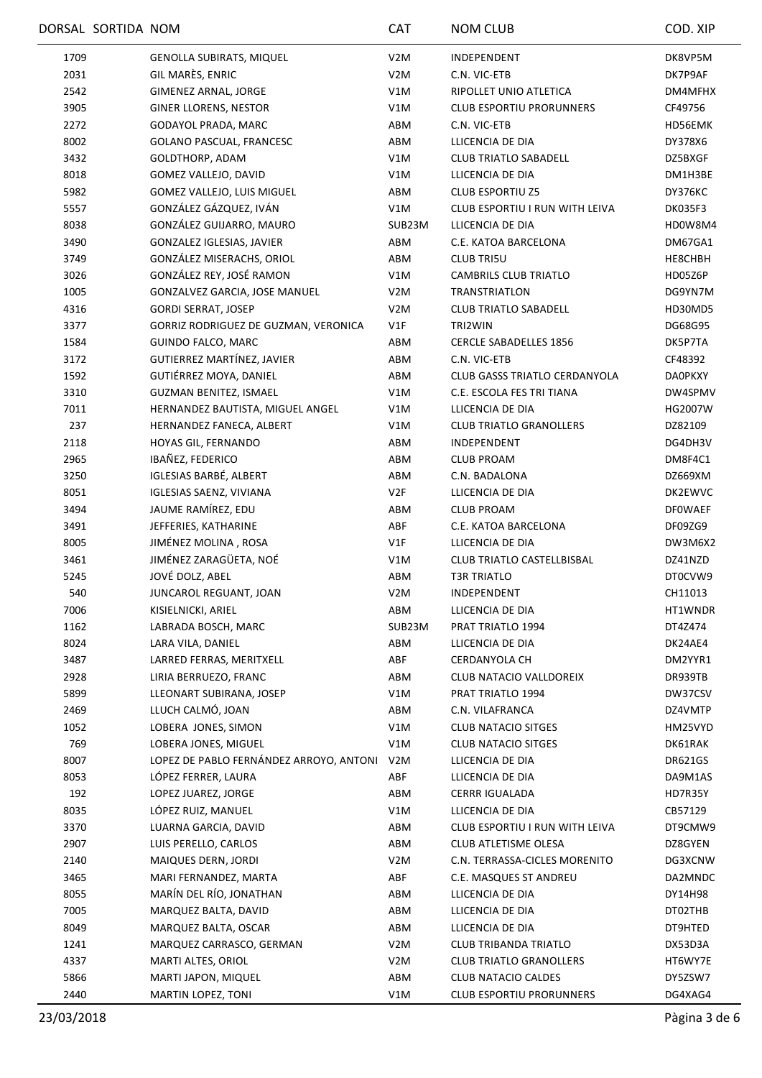|      | DORSAL SORTIDA NOM                      | <b>CAT</b>       | NOM CLUB                             | COD. XIP       |
|------|-----------------------------------------|------------------|--------------------------------------|----------------|
| 1709 | <b>GENOLLA SUBIRATS, MIQUEL</b>         | V <sub>2</sub> M | INDEPENDENT                          | DK8VP5M        |
| 2031 | GIL MARÈS, ENRIC                        | V <sub>2</sub> M | C.N. VIC-ETB                         | DK7P9AF        |
| 2542 | GIMENEZ ARNAL, JORGE                    | V1M              | RIPOLLET UNIO ATLETICA               | DM4MFHX        |
| 3905 | <b>GINER LLORENS, NESTOR</b>            | V1M              | <b>CLUB ESPORTIU PRORUNNERS</b>      | CF49756        |
| 2272 | GODAYOL PRADA, MARC                     | ABM              | C.N. VIC-ETB                         | HD56EMK        |
| 8002 | GOLANO PASCUAL, FRANCESC                | ABM              | LLICENCIA DE DIA                     | DY378X6        |
| 3432 | GOLDTHORP, ADAM                         | V1M              | <b>CLUB TRIATLO SABADELL</b>         | DZ5BXGF        |
| 8018 | GOMEZ VALLEJO, DAVID                    | V1M              | LLICENCIA DE DIA                     | DM1H3BE        |
| 5982 | GOMEZ VALLEJO, LUIS MIGUEL              | ABM              | <b>CLUB ESPORTIU Z5</b>              | DY376KC        |
| 5557 | GONZÁLEZ GÁZQUEZ, IVÁN                  | V1M              | CLUB ESPORTIU I RUN WITH LEIVA       | DK035F3        |
| 8038 | GONZÁLEZ GUIJARRO, MAURO                | SUB23M           | LLICENCIA DE DIA                     | HD0W8M4        |
| 3490 | GONZALEZ IGLESIAS, JAVIER               | ABM              | C.E. KATOA BARCELONA                 | DM67GA1        |
| 3749 | GONZÁLEZ MISERACHS, ORIOL               | ABM              | <b>CLUB TRI5U</b>                    | HE8CHBH        |
| 3026 | GONZÁLEZ REY, JOSÉ RAMON                | V1M              | <b>CAMBRILS CLUB TRIATLO</b>         | HD05Z6P        |
| 1005 | GONZALVEZ GARCIA, JOSE MANUEL           | V <sub>2</sub> M | TRANSTRIATLON                        | DG9YN7M        |
| 4316 | <b>GORDI SERRAT, JOSEP</b>              | V <sub>2</sub> M | <b>CLUB TRIATLO SABADELL</b>         | HD30MD5        |
| 3377 | GORRIZ RODRIGUEZ DE GUZMAN, VERONICA    | V1F              | TRI2WIN                              | DG68G95        |
| 1584 | GUINDO FALCO, MARC                      | ABM              | <b>CERCLE SABADELLES 1856</b>        | DK5P7TA        |
| 3172 | GUTIERREZ MARTÍNEZ, JAVIER              | ABM              | C.N. VIC-ETB                         | CF48392        |
| 1592 | GUTIÉRREZ MOYA, DANIEL                  | ABM              | <b>CLUB GASSS TRIATLO CERDANYOLA</b> | <b>DAOPKXY</b> |
| 3310 | <b>GUZMAN BENITEZ, ISMAEL</b>           | V1M              | C.E. ESCOLA FES TRI TIANA            | DW4SPMV        |
| 7011 | HERNANDEZ BAUTISTA, MIGUEL ANGEL        | V1M              | LLICENCIA DE DIA                     | HG2007W        |
| 237  | HERNANDEZ FANECA, ALBERT                | V1M              | <b>CLUB TRIATLO GRANOLLERS</b>       | DZ82109        |
| 2118 | HOYAS GIL, FERNANDO                     | ABM              | INDEPENDENT                          | DG4DH3V        |
| 2965 | IBAÑEZ, FEDERICO                        | ABM              | <b>CLUB PROAM</b>                    | DM8F4C1        |
| 3250 | <b>IGLESIAS BARBÉ, ALBERT</b>           | ABM              | C.N. BADALONA                        | DZ669XM        |
| 8051 | <b>IGLESIAS SAENZ, VIVIANA</b>          | V2F              | LLICENCIA DE DIA                     | DK2EWVC        |
| 3494 | JAUME RAMÍREZ, EDU                      | ABM              | <b>CLUB PROAM</b>                    | <b>DFOWAEF</b> |
| 3491 | JEFFERIES, KATHARINE                    | ABF              | C.E. KATOA BARCELONA                 | DF09ZG9        |
| 8005 | JIMÉNEZ MOLINA, ROSA                    | V1F              | LLICENCIA DE DIA                     | DW3M6X2        |
| 3461 | JIMÉNEZ ZARAGÜETA, NOÉ                  | V1M              | CLUB TRIATLO CASTELLBISBAL           | DZ41NZD        |
| 5245 | JOVÉ DOLZ, ABEL                         | ABM              | <b>T3R TRIATLO</b>                   | DT0CVW9        |
| 540  | JUNCAROL REGUANT, JOAN                  | V <sub>2</sub> M | INDEPENDENT                          | CH11013        |
| 7006 | KISIELNICKI, ARIEL                      | ABM              | LLICENCIA DE DIA                     | HT1WNDR        |
| 1162 | LABRADA BOSCH, MARC                     | SUB23M           | PRAT TRIATLO 1994                    | DT4Z474        |
| 8024 | LARA VILA, DANIEL                       | ABM              | LLICENCIA DE DIA                     | DK24AE4        |
| 3487 | LARRED FERRAS, MERITXELL                | ABF              | CERDANYOLA CH                        | DM2YYR1        |
| 2928 | LIRIA BERRUEZO, FRANC                   | ABM              | CLUB NATACIO VALLDOREIX              | DR939TB        |
| 5899 | LLEONART SUBIRANA, JOSEP                | V1M              | PRAT TRIATLO 1994                    | DW37CSV        |
| 2469 | LLUCH CALMÓ, JOAN                       | ABM              | C.N. VILAFRANCA                      | DZ4VMTP        |
| 1052 | LOBERA JONES, SIMON                     | V1M              | <b>CLUB NATACIO SITGES</b>           | HM25VYD        |
| 769  | LOBERA JONES, MIGUEL                    | V1M              | <b>CLUB NATACIO SITGES</b>           | DK61RAK        |
| 8007 | LOPEZ DE PABLO FERNÁNDEZ ARROYO, ANTONI | V2M              | LLICENCIA DE DIA                     | DR621GS        |
| 8053 | LÓPEZ FERRER, LAURA                     | ABF              | LLICENCIA DE DIA                     | DA9M1AS        |
| 192  | LOPEZ JUAREZ, JORGE                     | ABM              | <b>CERRR IGUALADA</b>                | HD7R35Y        |
| 8035 | LÓPEZ RUIZ, MANUEL                      | V1M              | LLICENCIA DE DIA                     | CB57129        |
| 3370 | LUARNA GARCIA, DAVID                    | ABM              | CLUB ESPORTIU I RUN WITH LEIVA       | DT9CMW9        |
| 2907 | LUIS PERELLO, CARLOS                    | ABM              | CLUB ATLETISME OLESA                 | DZ8GYEN        |
| 2140 | MAIQUES DERN, JORDI                     | V <sub>2</sub> M | C.N. TERRASSA-CICLES MORENITO        | DG3XCNW        |
| 3465 | MARI FERNANDEZ, MARTA                   | ABF              | C.E. MASQUES ST ANDREU               | DA2MNDC        |
| 8055 | MARÍN DEL RÍO, JONATHAN                 | ABM              | LLICENCIA DE DIA                     | DY14H98        |
| 7005 | MARQUEZ BALTA, DAVID                    | ABM              | LLICENCIA DE DIA                     | DT02THB        |
| 8049 | MARQUEZ BALTA, OSCAR                    | ABM              | LLICENCIA DE DIA                     | DT9HTED        |
| 1241 | MARQUEZ CARRASCO, GERMAN                | V <sub>2</sub> M | CLUB TRIBANDA TRIATLO                | DX53D3A        |
| 4337 | MARTI ALTES, ORIOL                      | V <sub>2</sub> M | <b>CLUB TRIATLO GRANOLLERS</b>       | HT6WY7E        |
| 5866 | MARTI JAPON, MIQUEL                     | ABM              | <b>CLUB NATACIO CALDES</b>           | DY5ZSW7        |
| 2440 | MARTIN LOPEZ, TONI                      | V1M              | CLUB ESPORTIU PRORUNNERS             | DG4XAG4        |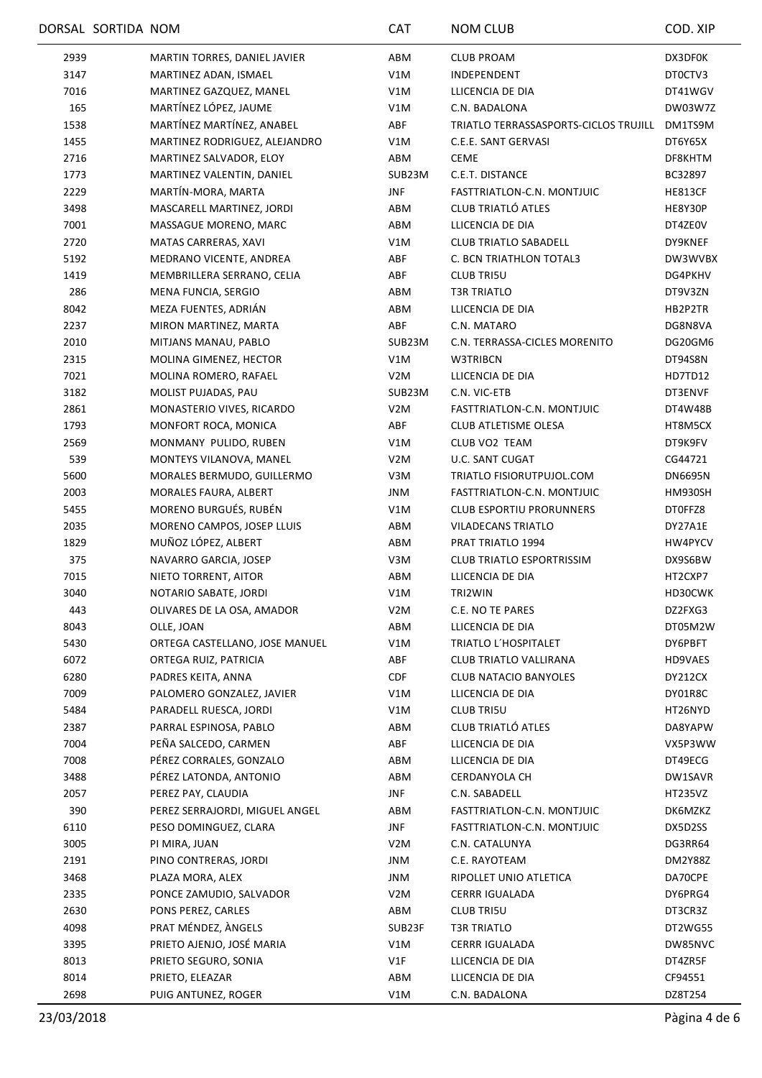|      | DORSAL SORTIDA NOM |                                | <b>CAT</b>       | <b>NOM CLUB</b>                       | COD. XIP       |
|------|--------------------|--------------------------------|------------------|---------------------------------------|----------------|
| 2939 |                    | MARTIN TORRES, DANIEL JAVIER   | ABM              | CLUB PROAM                            | DX3DF0K        |
| 3147 |                    | MARTINEZ ADAN, ISMAEL          | V1M              | INDEPENDENT                           | DT0CTV3        |
| 7016 |                    | MARTINEZ GAZQUEZ, MANEL        | V1M              | LLICENCIA DE DIA                      | DT41WGV        |
| 165  |                    | MARTÍNEZ LÓPEZ, JAUME          | V1M              | C.N. BADALONA                         | DW03W7Z        |
| 1538 |                    | MARTÍNEZ MARTÍNEZ, ANABEL      | ABF              | TRIATLO TERRASSASPORTS-CICLOS TRUJILL | DM1TS9M        |
| 1455 |                    | MARTINEZ RODRIGUEZ, ALEJANDRO  | V1M              | C.E.E. SANT GERVASI                   | DT6Y65X        |
| 2716 |                    | MARTINEZ SALVADOR, ELOY        | ABM              | <b>CEME</b>                           | DF8KHTM        |
| 1773 |                    | MARTINEZ VALENTIN, DANIEL      | SUB23M           | C.E.T. DISTANCE                       | BC32897        |
| 2229 |                    | MARTÍN-MORA, MARTA             | JNF              | FASTTRIATLON-C.N. MONTJUIC            | <b>HE813CF</b> |
| 3498 |                    | MASCARELL MARTINEZ, JORDI      | ABM              | CLUB TRIATLÓ ATLES                    | HE8Y30P        |
| 7001 |                    | MASSAGUE MORENO, MARC          | ABM              | LLICENCIA DE DIA                      | DT4ZE0V        |
| 2720 |                    | MATAS CARRERAS, XAVI           | V1M              | <b>CLUB TRIATLO SABADELL</b>          | DY9KNEF        |
| 5192 |                    | MEDRANO VICENTE, ANDREA        | ABF              | C. BCN TRIATHLON TOTAL3               | DW3WVBX        |
| 1419 |                    | MEMBRILLERA SERRANO, CELIA     | ABF              | <b>CLUB TRI5U</b>                     | DG4PKHV        |
| 286  |                    | MENA FUNCIA, SERGIO            | ABM              | <b>T3R TRIATLO</b>                    | DT9V3ZN        |
| 8042 |                    | MEZA FUENTES, ADRIÁN           | ABM              | LLICENCIA DE DIA                      | HB2P2TR        |
| 2237 |                    | MIRON MARTINEZ, MARTA          | ABF              | C.N. MATARO                           | DG8N8VA        |
| 2010 |                    | MITJANS MANAU, PABLO           | SUB23M           | C.N. TERRASSA-CICLES MORENITO         | DG20GM6        |
| 2315 |                    | MOLINA GIMENEZ, HECTOR         | V1M              | W3TRIBCN                              | DT94S8N        |
| 7021 |                    | MOLINA ROMERO, RAFAEL          | V <sub>2</sub> M | LLICENCIA DE DIA                      | HD7TD12        |
| 3182 |                    | MOLIST PUJADAS, PAU            | SUB23M           | C.N. VIC-ETB                          | DT3ENVF        |
| 2861 |                    | MONASTERIO VIVES, RICARDO      | V2M              | FASTTRIATLON-C.N. MONTJUIC            | DT4W48B        |
| 1793 |                    | MONFORT ROCA, MONICA           | ABF              | CLUB ATLETISME OLESA                  | HT8M5CX        |
| 2569 |                    | MONMANY PULIDO, RUBEN          | V1M              | CLUB VO2 TEAM                         | DT9K9FV        |
| 539  |                    | MONTEYS VILANOVA, MANEL        | V <sub>2</sub> M | <b>U.C. SANT CUGAT</b>                | CG44721        |
| 5600 |                    | MORALES BERMUDO, GUILLERMO     | V3M              | TRIATLO FISIORUTPUJOL.COM             | <b>DN6695N</b> |
| 2003 |                    | MORALES FAURA, ALBERT          | JNM              | FASTTRIATLON-C.N. MONTJUIC            | HM930SH        |
| 5455 |                    | MORENO BURGUÉS, RUBÉN          | V1M              | <b>CLUB ESPORTIU PRORUNNERS</b>       | DT0FFZ8        |
| 2035 |                    | MORENO CAMPOS, JOSEP LLUIS     | ABM              | VILADECANS TRIATLO                    | DY27A1E        |
| 1829 |                    | MUÑOZ LÓPEZ, ALBERT            | ABM              | PRAT TRIATLO 1994                     | HW4PYCV        |
| 375  |                    | NAVARRO GARCIA, JOSEP          | V3M              | <b>CLUB TRIATLO ESPORTRISSIM</b>      | DX9S6BW        |
| 7015 |                    | NIETO TORRENT, AITOR           | ABM              | LLICENCIA DE DIA                      | HT2CXP7        |
| 3040 |                    | NOTARIO SABATE, JORDI          | V1M              | TRI2WIN                               | HD30CWK        |
| 443  |                    | OLIVARES DE LA OSA, AMADOR     | V <sub>2</sub> M | C.E. NO TE PARES                      | DZ2FXG3        |
| 8043 |                    | OLLE, JOAN                     | ABM              | LLICENCIA DE DIA                      | DT05M2W        |
| 5430 |                    | ORTEGA CASTELLANO, JOSE MANUEL | V1M              | TRIATLO L'HOSPITALET                  | DY6PBFT        |
| 6072 |                    | ORTEGA RUIZ, PATRICIA          | ABF              | CLUB TRIATLO VALLIRANA                | HD9VAES        |
| 6280 |                    | PADRES KEITA, ANNA             | <b>CDF</b>       | CLUB NATACIO BANYOLES                 | DY212CX        |
| 7009 |                    | PALOMERO GONZALEZ, JAVIER      | V1M              | LLICENCIA DE DIA                      | DY01R8C        |
| 5484 |                    | PARADELL RUESCA, JORDI         | V1M              | <b>CLUB TRI5U</b>                     | HT26NYD        |
| 2387 |                    | PARRAL ESPINOSA, PABLO         | ABM              | <b>CLUB TRIATLÓ ATLES</b>             | DA8YAPW        |
| 7004 |                    | PEÑA SALCEDO, CARMEN           | ABF              | LLICENCIA DE DIA                      | VX5P3WW        |
| 7008 |                    | PÉREZ CORRALES, GONZALO        | ABM              | LLICENCIA DE DIA                      | DT49ECG        |
| 3488 |                    | PÉREZ LATONDA, ANTONIO         | ABM              | CERDANYOLA CH                         | DW1SAVR        |
| 2057 |                    | PEREZ PAY, CLAUDIA             | JNF              | C.N. SABADELL                         | HT235VZ        |
| 390  |                    | PEREZ SERRAJORDI, MIGUEL ANGEL | ABM              | FASTTRIATLON-C.N. MONTJUIC            | DK6MZKZ        |
| 6110 |                    | PESO DOMINGUEZ, CLARA          | JNF              | FASTTRIATLON-C.N. MONTJUIC            | DX5D2SS        |
| 3005 |                    | PI MIRA, JUAN                  | V <sub>2</sub> M | C.N. CATALUNYA                        | DG3RR64        |
| 2191 |                    | PINO CONTRERAS, JORDI          | JNM              | C.E. RAYOTEAM                         | DM2Y88Z        |
| 3468 |                    | PLAZA MORA, ALEX               | JNM              | RIPOLLET UNIO ATLETICA                | DA70CPE        |
| 2335 |                    | PONCE ZAMUDIO, SALVADOR        | V2M              | <b>CERRR IGUALADA</b>                 | DY6PRG4        |
| 2630 |                    | PONS PEREZ, CARLES             | ABM              | CLUB TRI5U                            | DT3CR3Z        |
| 4098 |                    | PRAT MÉNDEZ, ÀNGELS            | SUB23F           | <b>T3R TRIATLO</b>                    | DT2WG55        |
| 3395 |                    | PRIETO AJENJO, JOSÉ MARIA      | V1M              | CERRR IGUALADA                        | DW85NVC        |
| 8013 |                    | PRIETO SEGURO, SONIA           | V1F              | LLICENCIA DE DIA                      | DT4ZR5F        |
| 8014 |                    | PRIETO, ELEAZAR                | ABM              | LLICENCIA DE DIA                      | CF94551        |
| 2698 |                    | PUIG ANTUNEZ, ROGER            | V1M              | C.N. BADALONA                         | DZ8T254        |
|      |                    |                                |                  |                                       |                |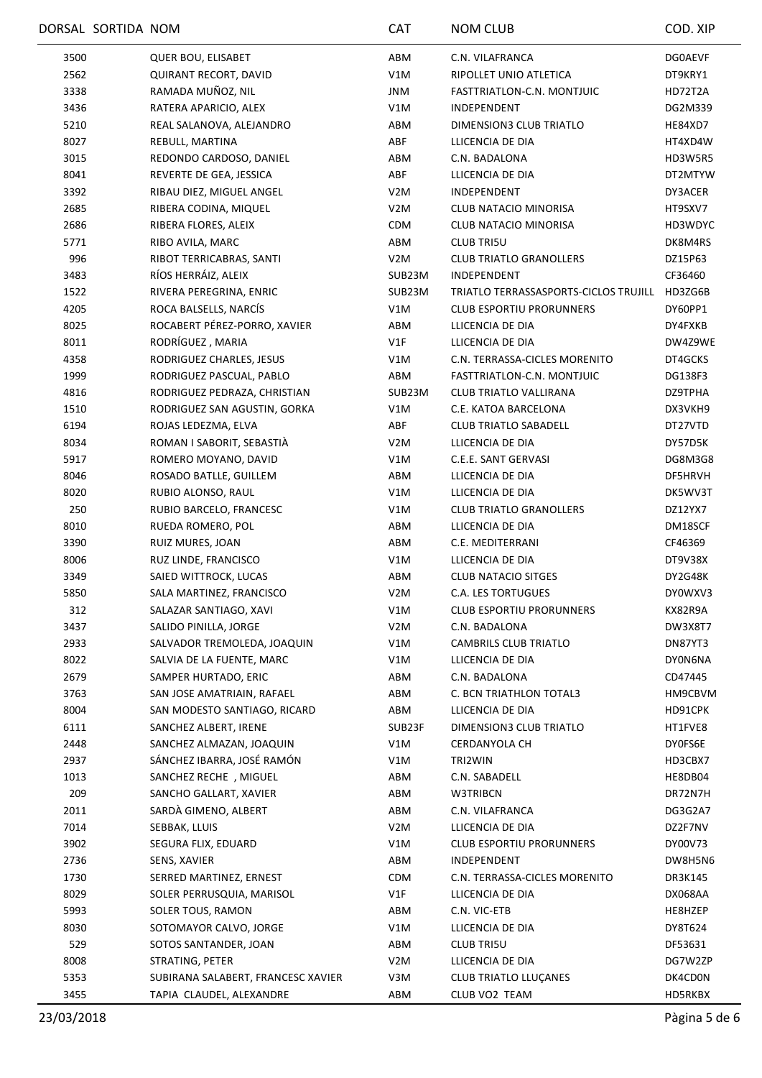|      | DORSAL SORTIDA NOM |                                    | CAT              | NOM CLUB                              | COD. XIP       |
|------|--------------------|------------------------------------|------------------|---------------------------------------|----------------|
| 3500 |                    | QUER BOU, ELISABET                 | ABM              | C.N. VILAFRANCA                       | <b>DG0AEVF</b> |
| 2562 |                    | QUIRANT RECORT, DAVID              | V1M              | RIPOLLET UNIO ATLETICA                | DT9KRY1        |
| 3338 |                    | RAMADA MUÑOZ, NIL                  | JNM              | FASTTRIATLON-C.N. MONTJUIC            | HD72T2A        |
| 3436 |                    | RATERA APARICIO, ALEX              | V1M              | INDEPENDENT                           | DG2M339        |
| 5210 |                    | REAL SALANOVA, ALEJANDRO           | ABM              | DIMENSION3 CLUB TRIATLO               | HE84XD7        |
| 8027 |                    | REBULL, MARTINA                    | ABF              | LLICENCIA DE DIA                      | HT4XD4W        |
| 3015 |                    | REDONDO CARDOSO, DANIEL            | ABM              | C.N. BADALONA                         | HD3W5R5        |
| 8041 |                    | REVERTE DE GEA, JESSICA            | ABF              | LLICENCIA DE DIA                      | DT2MTYW        |
| 3392 |                    | RIBAU DIEZ, MIGUEL ANGEL           | V <sub>2</sub> M | INDEPENDENT                           | DY3ACER        |
| 2685 |                    | RIBERA CODINA, MIQUEL              | V <sub>2</sub> M | CLUB NATACIO MINORISA                 | HT9SXV7        |
| 2686 |                    | RIBERA FLORES, ALEIX               | <b>CDM</b>       | CLUB NATACIO MINORISA                 | HD3WDYC        |
| 5771 |                    | RIBO AVILA, MARC                   | ABM              | <b>CLUB TRI5U</b>                     | DK8M4RS        |
| 996  |                    | RIBOT TERRICABRAS, SANTI           | V2M              | <b>CLUB TRIATLO GRANOLLERS</b>        | DZ15P63        |
| 3483 |                    | RÍOS HERRÁIZ, ALEIX                | SUB23M           | INDEPENDENT                           | CF36460        |
| 1522 |                    | RIVERA PEREGRINA, ENRIC            | SUB23M           | TRIATLO TERRASSASPORTS-CICLOS TRUJILL | HD3ZG6B        |
| 4205 |                    | ROCA BALSELLS, NARCÍS              | V1M              | <b>CLUB ESPORTIU PRORUNNERS</b>       | DY60PP1        |
| 8025 |                    | ROCABERT PÉREZ-PORRO, XAVIER       | ABM              | LLICENCIA DE DIA                      | DY4FXKB        |
| 8011 |                    | RODRÍGUEZ, MARIA                   | V1F              | LLICENCIA DE DIA                      | DW4Z9WE        |
| 4358 |                    | RODRIGUEZ CHARLES, JESUS           | V1M              | C.N. TERRASSA-CICLES MORENITO         | DT4GCKS        |
| 1999 |                    | RODRIGUEZ PASCUAL, PABLO           | ABM              | FASTTRIATLON-C.N. MONTJUIC            | DG138F3        |
| 4816 |                    | RODRIGUEZ PEDRAZA, CHRISTIAN       | SUB23M           | CLUB TRIATLO VALLIRANA                | DZ9TPHA        |
| 1510 |                    | RODRIGUEZ SAN AGUSTIN, GORKA       | V1M              | C.E. KATOA BARCELONA                  | DX3VKH9        |
| 6194 |                    | ROJAS LEDEZMA, ELVA                | ABF              | <b>CLUB TRIATLO SABADELL</b>          | DT27VTD        |
| 8034 |                    | ROMAN I SABORIT, SEBASTIÀ          | V <sub>2</sub> M | LLICENCIA DE DIA                      | DY57D5K        |
| 5917 |                    | ROMERO MOYANO, DAVID               | V1M              | C.E.E. SANT GERVASI                   | DG8M3G8        |
| 8046 |                    | ROSADO BATLLE, GUILLEM             | ABM              | LLICENCIA DE DIA                      | DF5HRVH        |
| 8020 |                    | RUBIO ALONSO, RAUL                 | V1M              | LLICENCIA DE DIA                      | DK5WV3T        |
| 250  |                    | RUBIO BARCELO, FRANCESC            | V1M              | <b>CLUB TRIATLO GRANOLLERS</b>        | DZ12YX7        |
| 8010 |                    | RUEDA ROMERO, POL                  | ABM              | LLICENCIA DE DIA                      | DM18SCF        |
| 3390 |                    | RUIZ MURES, JOAN                   | ABM              | C.E. MEDITERRANI                      | CF46369        |
| 8006 |                    | RUZ LINDE, FRANCISCO               | V1M              | LLICENCIA DE DIA                      | DT9V38X        |
| 3349 |                    | SAIED WITTROCK, LUCAS              | ABM              | <b>CLUB NATACIO SITGES</b>            | DY2G48K        |
| 5850 |                    | SALA MARTINEZ, FRANCISCO           | V <sub>2</sub> M | <b>C.A. LES TORTUGUES</b>             | DY0WXV3        |
| 312  |                    | SALAZAR SANTIAGO, XAVI             | V1M              | <b>CLUB ESPORTIU PRORUNNERS</b>       | KX82R9A        |
| 3437 |                    | SALIDO PINILLA, JORGE              | V <sub>2</sub> M | C.N. BADALONA                         | DW3X8T7        |
| 2933 |                    | SALVADOR TREMOLEDA, JOAQUIN        | V1M              | <b>CAMBRILS CLUB TRIATLO</b>          | <b>DN87YT3</b> |
| 8022 |                    | SALVIA DE LA FUENTE, MARC          | V1M              | LLICENCIA DE DIA                      | DY0N6NA        |
| 2679 |                    | SAMPER HURTADO, ERIC               | ABM              | C.N. BADALONA                         | CD47445        |
| 3763 |                    | SAN JOSE AMATRIAIN, RAFAEL         | ABM              | C. BCN TRIATHLON TOTAL3               | HM9CBVM        |
| 8004 |                    | SAN MODESTO SANTIAGO, RICARD       | ABM              | LLICENCIA DE DIA                      | HD91CPK        |
| 6111 |                    | SANCHEZ ALBERT, IRENE              | SUB23F           | DIMENSION3 CLUB TRIATLO               | HT1FVE8        |
| 2448 |                    | SANCHEZ ALMAZAN, JOAQUIN           | V1M              | CERDANYOLA CH                         | DY0FS6E        |
| 2937 |                    | SÁNCHEZ IBARRA, JOSÉ RAMÓN         | V1M              | TRI2WIN                               | HD3CBX7        |
| 1013 |                    | SANCHEZ RECHE, MIGUEL              | ABM              | C.N. SABADELL                         | HE8DB04        |
| 209  |                    | SANCHO GALLART, XAVIER             | ABM              | W3TRIBCN                              | DR72N7H        |
| 2011 |                    | SARDÀ GIMENO, ALBERT               | ABM              | C.N. VILAFRANCA                       | DG3G2A7        |
| 7014 |                    | SEBBAK, LLUIS                      | V <sub>2</sub> M | LLICENCIA DE DIA                      | DZ2F7NV        |
| 3902 |                    | SEGURA FLIX, EDUARD                | V1M              | <b>CLUB ESPORTIU PRORUNNERS</b>       | DY00V73        |
| 2736 |                    | SENS, XAVIER                       | ABM              | INDEPENDENT                           | DW8H5N6        |
| 1730 |                    | SERRED MARTINEZ, ERNEST            | <b>CDM</b>       | C.N. TERRASSA-CICLES MORENITO         | DR3K145        |
| 8029 |                    | SOLER PERRUSQUIA, MARISOL          | V1F              | LLICENCIA DE DIA                      | DX068AA        |
| 5993 |                    | SOLER TOUS, RAMON                  | ABM              | C.N. VIC-ETB                          | HE8HZEP        |
| 8030 |                    | SOTOMAYOR CALVO, JORGE             | V1M              | LLICENCIA DE DIA                      | DY8T624        |
| 529  |                    | SOTOS SANTANDER, JOAN              | ABM              | <b>CLUB TRI5U</b>                     | DF53631        |
| 8008 |                    | STRATING, PETER                    | V2M              | LLICENCIA DE DIA                      | DG7W2ZP        |
| 5353 |                    | SUBIRANA SALABERT, FRANCESC XAVIER | V3M              | CLUB TRIATLO LLUÇANES                 | DK4CD0N        |
| 3455 |                    | TAPIA CLAUDEL, ALEXANDRE           | ABM              | CLUB VO2 TEAM                         | HD5RKBX        |
|      |                    |                                    |                  |                                       |                |